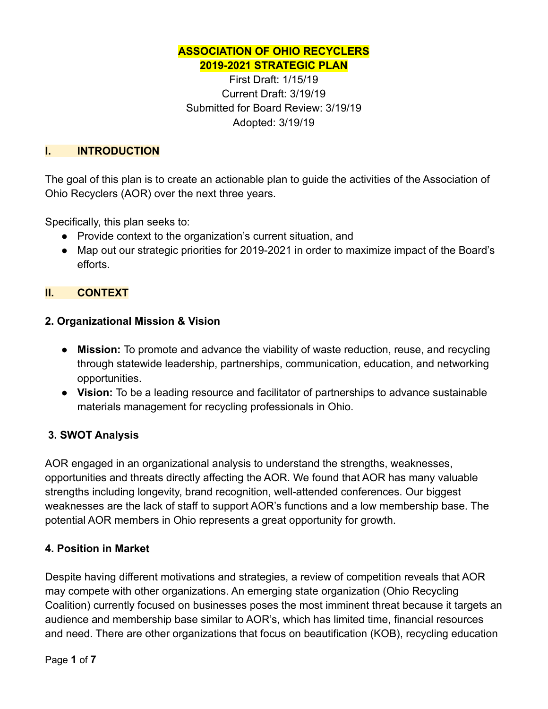## **ASSOCIATION OF OHIO RECYCLERS 2019-2021 STRATEGIC PLAN**

First Draft: 1/15/19 Current Draft: 3/19/19 Submitted for Board Review: 3/19/19 Adopted: 3/19/19

### **I. INTRODUCTION**

The goal of this plan is to create an actionable plan to guide the activities of the Association of Ohio Recyclers (AOR) over the next three years.

Specifically, this plan seeks to:

- Provide context to the organization's current situation, and
- Map out our strategic priorities for 2019-2021 in order to maximize impact of the Board's efforts.

## **II. CONTEXT**

#### **2. Organizational Mission & Vision**

- **Mission:** To promote and advance the viability of waste reduction, reuse, and recycling through statewide leadership, partnerships, communication, education, and networking opportunities.
- **Vision:** To be a leading resource and facilitator of partnerships to advance sustainable materials management for recycling professionals in Ohio.

## **3. SWOT Analysis**

AOR engaged in an organizational analysis to understand the strengths, weaknesses, opportunities and threats directly affecting the AOR. We found that AOR has many valuable strengths including longevity, brand recognition, well-attended conferences. Our biggest weaknesses are the lack of staff to support AOR's functions and a low membership base. The potential AOR members in Ohio represents a great opportunity for growth.

#### **4. Position in Market**

Despite having different motivations and strategies, a review of competition reveals that AOR may compete with other organizations. An emerging state organization (Ohio Recycling Coalition) currently focused on businesses poses the most imminent threat because it targets an audience and membership base similar to AOR's, which has limited time, financial resources and need. There are other organizations that focus on beautification (KOB), recycling education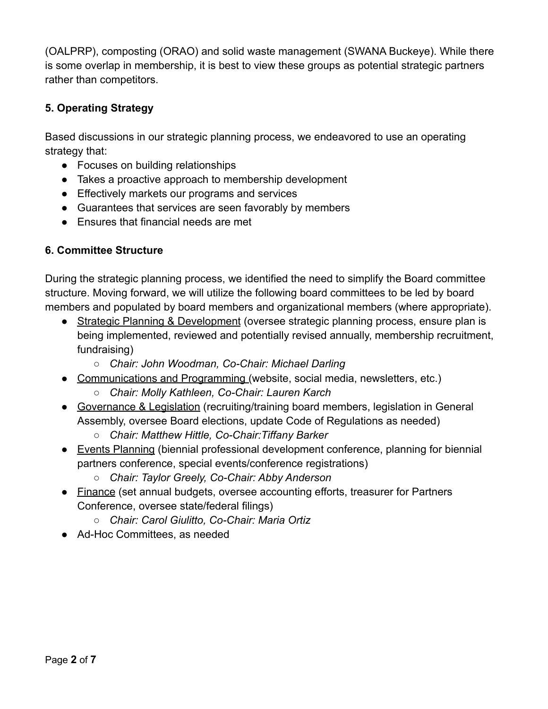(OALPRP), composting (ORAO) and solid waste management (SWANA Buckeye). While there is some overlap in membership, it is best to view these groups as potential strategic partners rather than competitors.

# **5. Operating Strategy**

Based discussions in our strategic planning process, we endeavored to use an operating strategy that:

- Focuses on building relationships
- Takes a proactive approach to membership development
- Effectively markets our programs and services
- Guarantees that services are seen favorably by members
- Ensures that financial needs are met

# **6. Committee Structure**

During the strategic planning process, we identified the need to simplify the Board committee structure. Moving forward, we will utilize the following board committees to be led by board members and populated by board members and organizational members (where appropriate).

- Strategic Planning & Development (oversee strategic planning process, ensure plan is being implemented, reviewed and potentially revised annually, membership recruitment, fundraising)
	- *Chair: John Woodman, Co-Chair: Michael Darling*
- Communications and Programming (website, social media, newsletters, etc.)
	- *○ Chair: Molly Kathleen, Co-Chair: Lauren Karch*
- Governance & Legislation (recruiting/training board members, legislation in General Assembly, oversee Board elections, update Code of Regulations as needed)
	- *○ Chair: Matthew Hittle, Co-Chair:Tiffany Barker*
- Events Planning (biennial professional development conference, planning for biennial partners conference, special events/conference registrations)
	- *Chair: Taylor Greely, Co-Chair: Abby Anderson*
- Finance (set annual budgets, oversee accounting efforts, treasurer for Partners Conference, oversee state/federal filings)
	- *○ Chair: Carol Giulitto, Co-Chair: Maria Ortiz*
- Ad-Hoc Committees, as needed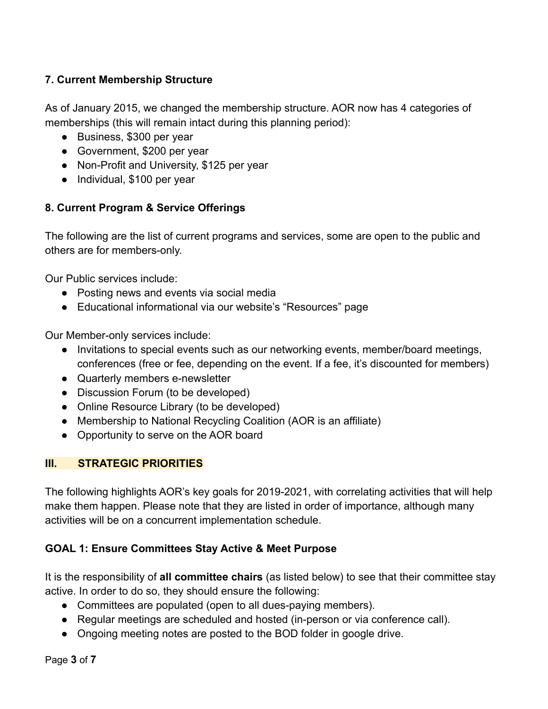# **7. Current Membership Structure**

As of January 2015, we changed the membership structure. AOR now has 4 categories of memberships (this will remain intact during this planning period):

- Business, \$300 per year
- Government, \$200 per year
- Non-Profit and University, \$125 per year
- Individual, \$100 per year

## **8. Current Program & Service Offerings**

The following are the list of current programs and services, some are open to the public and others are for members-only.

Our Public services include:

- Posting news and events via social media
- Educational informational via our website's "Resources" page

Our Member-only services include:

- Invitations to special events such as our networking events, member/board meetings, conferences (free or fee, depending on the event. If a fee, it's discounted for members)
- Quarterly members e-newsletter
- Discussion Forum (to be developed)
- Online Resource Library (to be developed)
- Membership to National Recycling Coalition (AOR is an affiliate)
- Opportunity to serve on the AOR board

## **III. STRATEGIC PRIORITIES**

The following highlights AOR's key goals for 2019-2021, with correlating activities that will help make them happen. Please note that they are listed in order of importance, although many activities will be on a concurrent implementation schedule.

# **GOAL 1: Ensure Committees Stay Active & Meet Purpose**

It is the responsibility of **all committee chairs** (as listed below) to see that their committee stay active. In order to do so, they should ensure the following:

- Committees are populated (open to all dues-paying members).
- Regular meetings are scheduled and hosted (in-person or via conference call).
- Ongoing meeting notes are posted to the BOD folder in google drive.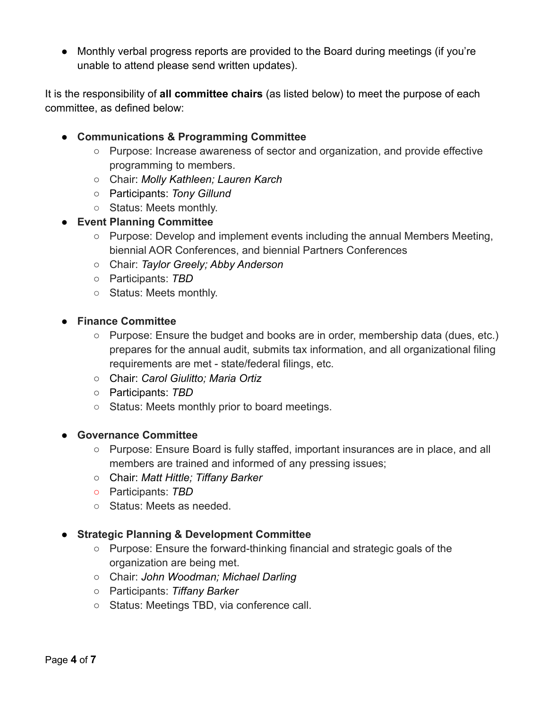● Monthly verbal progress reports are provided to the Board during meetings (if you're unable to attend please send written updates).

It is the responsibility of **all committee chairs** (as listed below) to meet the purpose of each committee, as defined below:

- **Communications & Programming Committee**
	- Purpose: Increase awareness of sector and organization, and provide effective programming to members.
	- Chair: *Molly Kathleen; Lauren Karch*
	- *○* Participants: *Tony Gillund*
	- Status: Meets monthly.

## ● **Event Planning Committee**

- Purpose: Develop and implement events including the annual Members Meeting, biennial AOR Conferences, and biennial Partners Conferences
- Chair: *Taylor Greely; Abby Anderson*
- Participants: *TBD*
- Status: Meets monthly.
- **Finance Committee**
	- Purpose: Ensure the budget and books are in order, membership data (dues, etc.) prepares for the annual audit, submits tax information, and all organizational filing requirements are met - state/federal filings, etc.
	- Chair: *Carol Giulitto; Maria Ortiz*
	- Participants: *TBD*
	- Status: Meets monthly prior to board meetings.

#### ● **Governance Committee**

- Purpose: Ensure Board is fully staffed, important insurances are in place, and all members are trained and informed of any pressing issues;
- Chair: *Matt Hittle; Tiffany Barker*
- *○* Participants: *TBD*
- Status: Meets as needed.

## ● **Strategic Planning & Development Committee**

- Purpose: Ensure the forward-thinking financial and strategic goals of the organization are being met.
- Chair: *John Woodman; Michael Darling*
- Participants: *Tiffany Barker*
- Status: Meetings TBD, via conference call.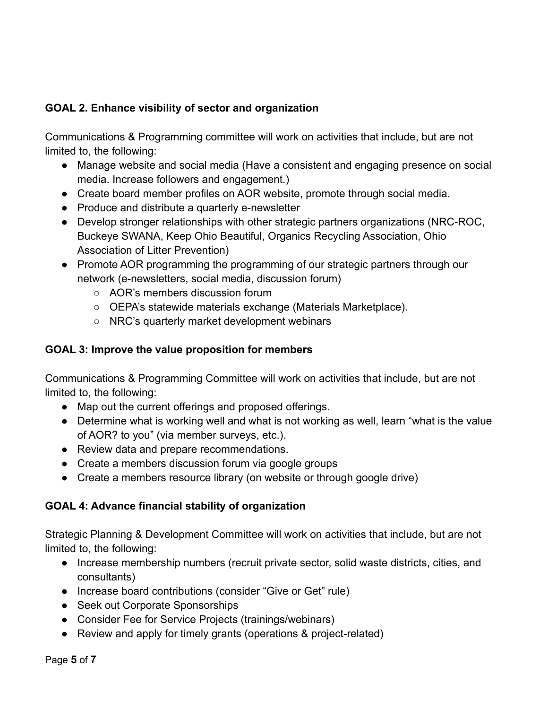# **GOAL 2. Enhance visibility of sector and organization**

Communications & Programming committee will work on activities that include, but are not limited to, the following:

- Manage website and social media (Have a consistent and engaging presence on social media. Increase followers and engagement.)
- Create board member profiles on AOR website, promote through social media.
- Produce and distribute a quarterly e-newsletter
- Develop stronger relationships with other strategic partners organizations (NRC-ROC, Buckeye SWANA, Keep Ohio Beautiful, Organics Recycling Association, Ohio Association of Litter Prevention)
- Promote AOR programming the programming of our strategic partners through our network (e-newsletters, social media, discussion forum)
	- AOR's members discussion forum
	- OEPA's statewide materials exchange (Materials Marketplace).
	- NRC's quarterly market development webinars

# **GOAL 3: Improve the value proposition for members**

Communications & Programming Committee will work on activities that include, but are not limited to, the following:

- Map out the current offerings and proposed offerings.
- Determine what is working well and what is not working as well, learn "what is the value of AOR? to you" (via member surveys, etc.).
- Review data and prepare recommendations.
- Create a members discussion forum via google groups
- Create a members resource library (on website or through google drive)

# **GOAL 4: Advance financial stability of organization**

Strategic Planning & Development Committee will work on activities that include, but are not limited to, the following:

- Increase membership numbers (recruit private sector, solid waste districts, cities, and consultants)
- Increase board contributions (consider "Give or Get" rule)
- Seek out Corporate Sponsorships
- Consider Fee for Service Projects (trainings/webinars)
- Review and apply for timely grants (operations & project-related)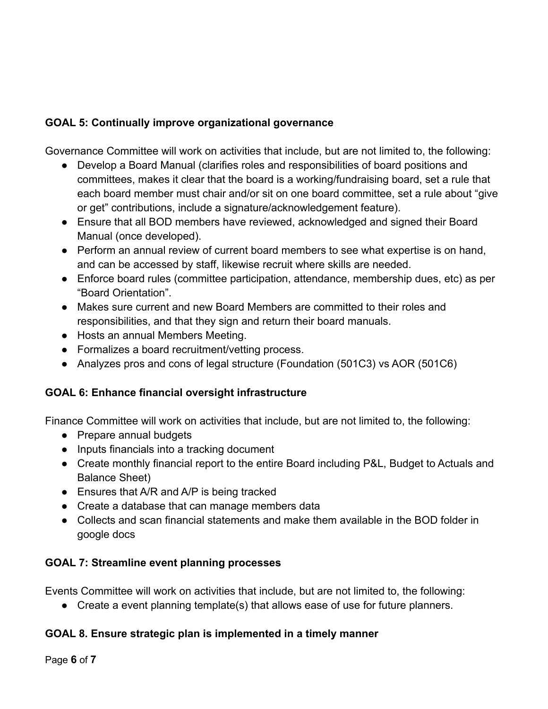# **GOAL 5: Continually improve organizational governance**

Governance Committee will work on activities that include, but are not limited to, the following:

- Develop a Board Manual (clarifies roles and responsibilities of board positions and committees, makes it clear that the board is a working/fundraising board, set a rule that each board member must chair and/or sit on one board committee, set a rule about "give or get" contributions, include a signature/acknowledgement feature).
- Ensure that all BOD members have reviewed, acknowledged and signed their Board Manual (once developed).
- Perform an annual review of current board members to see what expertise is on hand, and can be accessed by staff, likewise recruit where skills are needed.
- Enforce board rules (committee participation, attendance, membership dues, etc) as per "Board Orientation".
- Makes sure current and new Board Members are committed to their roles and responsibilities, and that they sign and return their board manuals.
- Hosts an annual Members Meeting.
- Formalizes a board recruitment/vetting process.
- Analyzes pros and cons of legal structure (Foundation (501C3) vs AOR (501C6)

# **GOAL 6: Enhance financial oversight infrastructure**

Finance Committee will work on activities that include, but are not limited to, the following:

- Prepare annual budgets
- Inputs financials into a tracking document
- Create monthly financial report to the entire Board including P&L, Budget to Actuals and Balance Sheet)
- Ensures that A/R and A/P is being tracked
- Create a database that can manage members data
- Collects and scan financial statements and make them available in the BOD folder in google docs

# **GOAL 7: Streamline event planning processes**

Events Committee will work on activities that include, but are not limited to, the following:

● Create a event planning template(s) that allows ease of use for future planners.

# **GOAL 8. Ensure strategic plan is implemented in a timely manner**

Page **6** of **7**